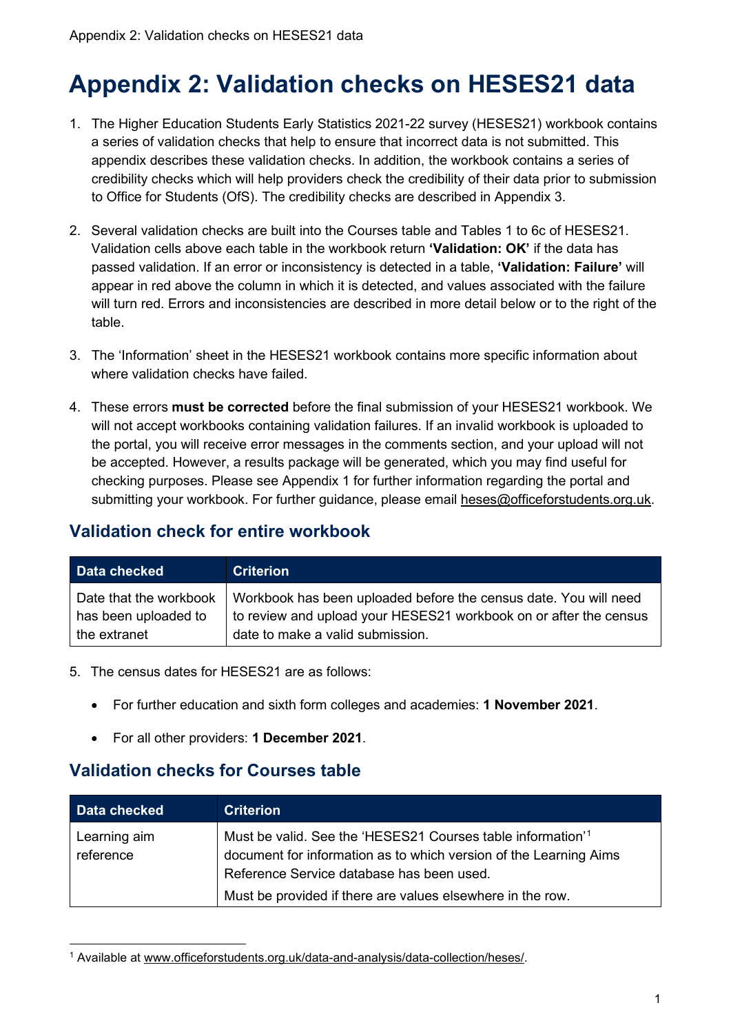# **Appendix 2: Validation checks on HESES21 data**

- 1. The Higher Education Students Early Statistics 2021-22 survey (HESES21) workbook contains a series of validation checks that help to ensure that incorrect data is not submitted. This appendix describes these validation checks. In addition, the workbook contains a series of credibility checks which will help providers check the credibility of their data prior to submission to Office for Students (OfS). The credibility checks are described in Appendix 3.
- 2. Several validation checks are built into the Courses table and Tables 1 to 6c of HESES21. Validation cells above each table in the workbook return **'Validation: OK'** if the data has passed validation. If an error or inconsistency is detected in a table, **'Validation: Failure'** will appear in red above the column in which it is detected, and values associated with the failure will turn red. Errors and inconsistencies are described in more detail below or to the right of the table.
- 3. The 'Information' sheet in the HESES21 workbook contains more specific information about where validation checks have failed
- 4. These errors **must be corrected** before the final submission of your HESES21 workbook. We will not accept workbooks containing validation failures. If an invalid workbook is uploaded to the portal, you will receive error messages in the comments section, and your upload will not be accepted. However, a results package will be generated, which you may find useful for checking purposes. Please see Appendix 1 for further information regarding the portal and submitting your workbook. For further guidance, please email [heses@officeforstudents.org.uk.](mailto:heses@officeforstudents.org.uk)

#### **Validation check for entire workbook**

| Data checked           | <b>Criterion</b>                                                  |
|------------------------|-------------------------------------------------------------------|
| Date that the workbook | Workbook has been uploaded before the census date. You will need  |
| has been uploaded to   | to review and upload your HESES21 workbook on or after the census |
| the extranet           | date to make a valid submission.                                  |

- 5. The census dates for HESES21 are as follows:
	- For further education and sixth form colleges and academies: **1 November 2021**.
	- For all other providers: **1 December 2021**.

#### **Validation checks for Courses table**

| Data checked              | <b>Criterion</b>                                                                                                                                                                                                                                        |
|---------------------------|---------------------------------------------------------------------------------------------------------------------------------------------------------------------------------------------------------------------------------------------------------|
| Learning aim<br>reference | Must be valid. See the 'HESES21 Courses table information' <sup>1</sup><br>document for information as to which version of the Learning Aims<br>Reference Service database has been used.<br>Must be provided if there are values elsewhere in the row. |

<span id="page-0-0"></span><sup>1</sup> Available at [www.officeforstudents.org.uk/data-and-analysis/data-collection/heses/.](https://www.officeforstudents.org.uk/data-and-analysis/data-collection/heses/)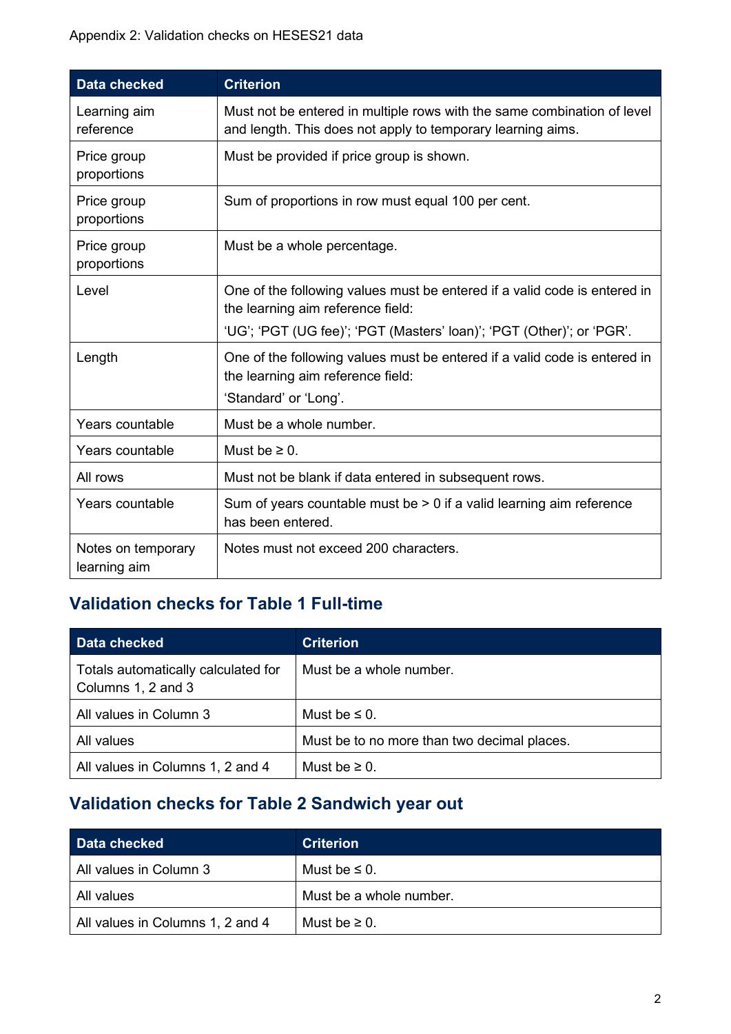| <b>Data checked</b>                | <b>Criterion</b>                                                                                                                                                                        |
|------------------------------------|-----------------------------------------------------------------------------------------------------------------------------------------------------------------------------------------|
| Learning aim<br>reference          | Must not be entered in multiple rows with the same combination of level<br>and length. This does not apply to temporary learning aims.                                                  |
| Price group<br>proportions         | Must be provided if price group is shown.                                                                                                                                               |
| Price group<br>proportions         | Sum of proportions in row must equal 100 per cent.                                                                                                                                      |
| Price group<br>proportions         | Must be a whole percentage.                                                                                                                                                             |
| Level                              | One of the following values must be entered if a valid code is entered in<br>the learning aim reference field:<br>'UG'; 'PGT (UG fee)'; 'PGT (Masters' loan)'; 'PGT (Other)'; or 'PGR'. |
| Length                             | One of the following values must be entered if a valid code is entered in<br>the learning aim reference field:<br>'Standard' or 'Long'.                                                 |
| Years countable                    | Must be a whole number.                                                                                                                                                                 |
| Years countable                    | Must be $\geq 0$ .                                                                                                                                                                      |
| All rows                           | Must not be blank if data entered in subsequent rows.                                                                                                                                   |
| Years countable                    | Sum of years countable must be $> 0$ if a valid learning aim reference<br>has been entered.                                                                                             |
| Notes on temporary<br>learning aim | Notes must not exceed 200 characters.                                                                                                                                                   |

# **Validation checks for Table 1 Full-time**

| Data checked                                              | <b>Criterion</b>                            |
|-----------------------------------------------------------|---------------------------------------------|
| Totals automatically calculated for<br>Columns 1, 2 and 3 | Must be a whole number.                     |
| All values in Column 3                                    | Must be $\leq$ 0.                           |
| All values                                                | Must be to no more than two decimal places. |
| All values in Columns 1, 2 and 4                          | Must be $\geq 0$ .                          |

# **Validation checks for Table 2 Sandwich year out**

| Data checked                     | <b>Criterion</b>        |
|----------------------------------|-------------------------|
| All values in Column 3           | Must be $\leq 0$ .      |
| All values                       | Must be a whole number. |
| All values in Columns 1, 2 and 4 | Must be $\geq 0$ .      |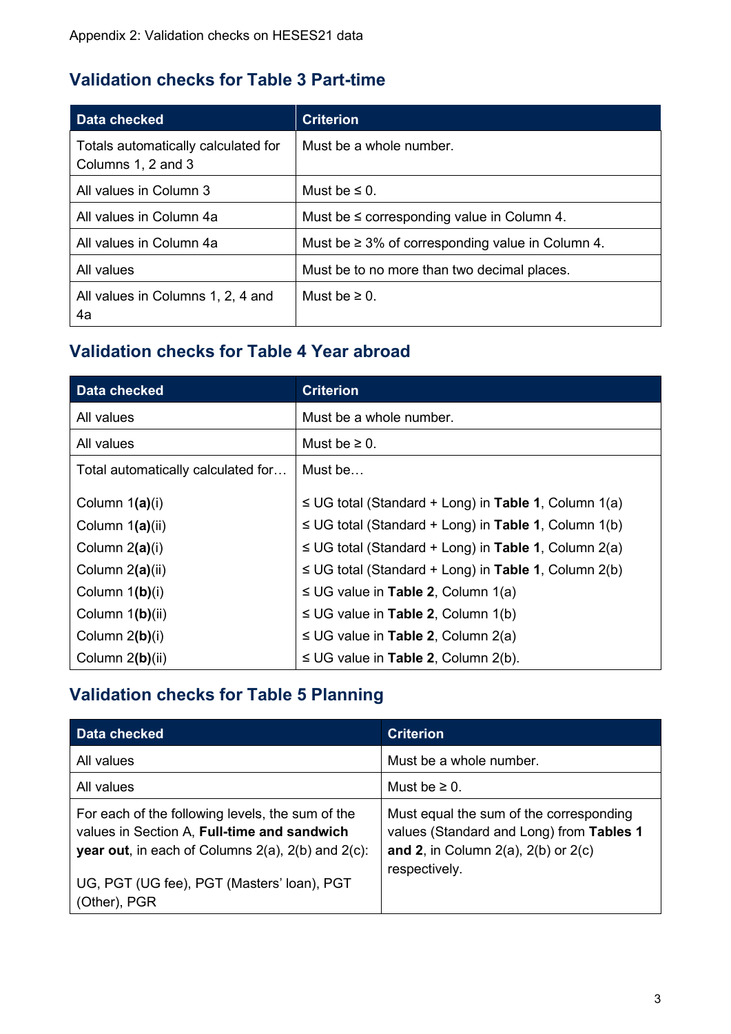#### **Validation checks for Table 3 Part-time**

| Data checked                                              | <b>Criterion</b>                                       |
|-----------------------------------------------------------|--------------------------------------------------------|
| Totals automatically calculated for<br>Columns 1, 2 and 3 | Must be a whole number.                                |
| All values in Column 3                                    | Must be $\leq 0$ .                                     |
| All values in Column 4a                                   | Must be $\leq$ corresponding value in Column 4.        |
| All values in Column 4a                                   | Must be $\geq 3\%$ of corresponding value in Column 4. |
| All values                                                | Must be to no more than two decimal places.            |
| All values in Columns 1, 2, 4 and<br>4a                   | Must be $\geq 0$ .                                     |

### **Validation checks for Table 4 Year abroad**

| Data checked                       | <b>Criterion</b>                                          |
|------------------------------------|-----------------------------------------------------------|
| All values                         | Must be a whole number.                                   |
| All values                         | Must be $\geq 0$ .                                        |
| Total automatically calculated for | Must be                                                   |
| Column 1(a)(i)                     | $\leq$ UG total (Standard + Long) in Table 1, Column 1(a) |
| Column 1(a)(ii)                    | $\leq$ UG total (Standard + Long) in Table 1, Column 1(b) |
| Column $2(a)(i)$                   | $\leq$ UG total (Standard + Long) in Table 1, Column 2(a) |
| Column 2(a)(ii)                    | $\leq$ UG total (Standard + Long) in Table 1, Column 2(b) |
| Column 1(b)(i)                     | $\leq$ UG value in Table 2, Column 1(a)                   |
| Column 1(b)(ii)                    | $\leq$ UG value in Table 2, Column 1(b)                   |
| Column $2(b)(i)$                   | $\leq$ UG value in Table 2, Column 2(a)                   |
| Column 2(b)(ii)                    | $\leq$ UG value in Table 2, Column 2(b).                  |

## **Validation checks for Table 5 Planning**

| Data checked                                                                                                                                                         | <b>Criterion</b>                                                                                                                                   |
|----------------------------------------------------------------------------------------------------------------------------------------------------------------------|----------------------------------------------------------------------------------------------------------------------------------------------------|
| All values                                                                                                                                                           | Must be a whole number.                                                                                                                            |
| All values                                                                                                                                                           | Must be $\geq 0$ .                                                                                                                                 |
| For each of the following levels, the sum of the<br>values in Section A, Full-time and sandwich<br><b>year out</b> , in each of Columns $2(a)$ , $2(b)$ and $2(c)$ : | Must equal the sum of the corresponding<br>values (Standard and Long) from Tables 1<br>and 2, in Column $2(a)$ , $2(b)$ or $2(c)$<br>respectively. |
| UG, PGT (UG fee), PGT (Masters' loan), PGT<br>(Other), PGR                                                                                                           |                                                                                                                                                    |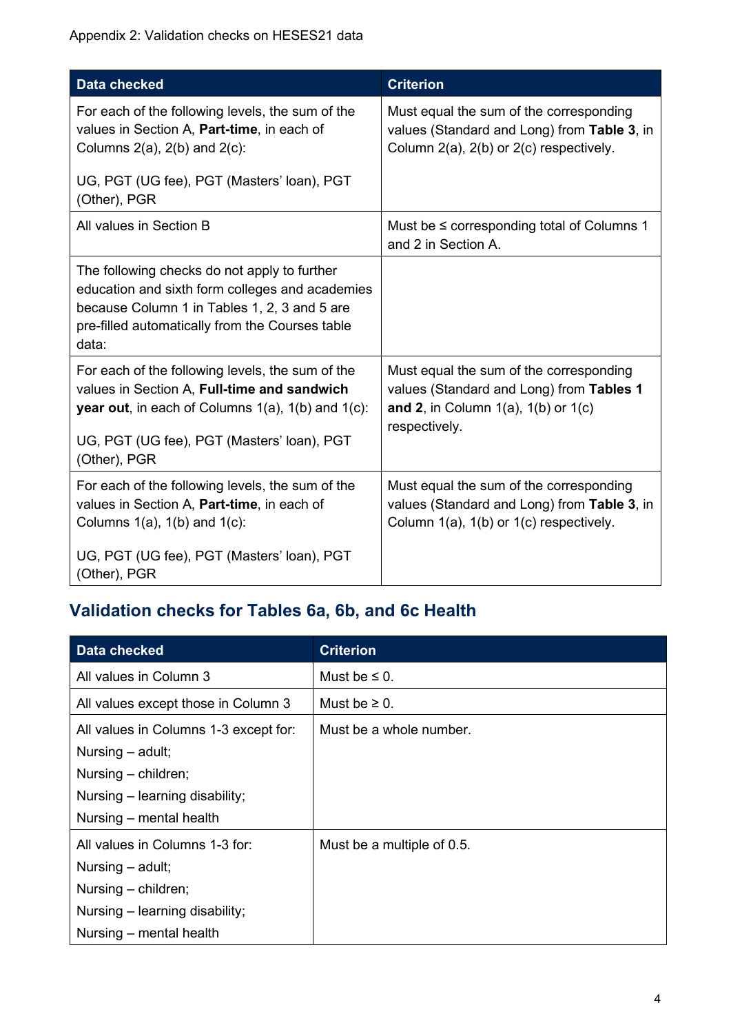| <b>Data checked</b>                                                                                                                                                                                                                | <b>Criterion</b>                                                                                                                                   |
|------------------------------------------------------------------------------------------------------------------------------------------------------------------------------------------------------------------------------------|----------------------------------------------------------------------------------------------------------------------------------------------------|
| For each of the following levels, the sum of the<br>values in Section A, Part-time, in each of<br>Columns $2(a)$ , $2(b)$ and $2(c)$ :                                                                                             | Must equal the sum of the corresponding<br>values (Standard and Long) from Table 3, in<br>Column 2(a), 2(b) or 2(c) respectively.                  |
| UG, PGT (UG fee), PGT (Masters' loan), PGT<br>(Other), PGR                                                                                                                                                                         |                                                                                                                                                    |
| All values in Section B                                                                                                                                                                                                            | Must be $\leq$ corresponding total of Columns 1<br>and 2 in Section A.                                                                             |
| The following checks do not apply to further<br>education and sixth form colleges and academies<br>because Column 1 in Tables 1, 2, 3 and 5 are<br>pre-filled automatically from the Courses table<br>data:                        |                                                                                                                                                    |
| For each of the following levels, the sum of the<br>values in Section A, Full-time and sandwich<br><b>year out</b> , in each of Columns $1(a)$ , $1(b)$ and $1(c)$ :<br>UG, PGT (UG fee), PGT (Masters' loan), PGT<br>(Other), PGR | Must equal the sum of the corresponding<br>values (Standard and Long) from Tables 1<br>and 2, in Column $1(a)$ , $1(b)$ or $1(c)$<br>respectively. |
| For each of the following levels, the sum of the<br>values in Section A, Part-time, in each of<br>Columns $1(a)$ , $1(b)$ and $1(c)$ :                                                                                             | Must equal the sum of the corresponding<br>values (Standard and Long) from Table 3, in<br>Column 1(a), 1(b) or 1(c) respectively.                  |
| UG, PGT (UG fee), PGT (Masters' loan), PGT<br>(Other), PGR                                                                                                                                                                         |                                                                                                                                                    |

## **Validation checks for Tables 6a, 6b, and 6c Health**

| Data checked                          | <b>Criterion</b>           |
|---------------------------------------|----------------------------|
| All values in Column 3                | Must be $\leq$ 0.          |
| All values except those in Column 3   | Must be $\geq 0$ .         |
| All values in Columns 1-3 except for: | Must be a whole number.    |
| Nursing – adult;                      |                            |
| Nursing – children;                   |                            |
| Nursing – learning disability;        |                            |
| Nursing – mental health               |                            |
| All values in Columns 1-3 for:        | Must be a multiple of 0.5. |
| Nursing – adult;                      |                            |
| Nursing – children;                   |                            |
| Nursing – learning disability;        |                            |
| Nursing – mental health               |                            |